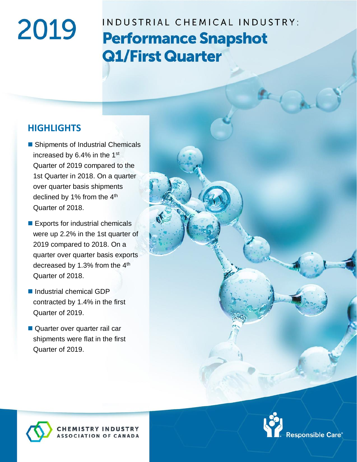# 2019

## INDUSTRIAL CHEMICAL INDUSTRY: **Performance Snapshot Q1/First Quarter**

#### **HIGHLIGHTS**

- Shipments of Industrial Chemicals increased by 6.4% in the 1st Quarter of 2019 compared to the 1st Quarter in 2018. On a quarter over quarter basis shipments declined by 1% from the 4<sup>th</sup> Quarter of 2018.
- Exports for industrial chemicals were up 2.2% in the 1st quarter of 2019 compared to 2018. On a quarter over quarter basis exports decreased by 1.3% from the 4<sup>th</sup> Quarter of 2018.
- Industrial chemical GDP contracted by 1.4% in the first Quarter of 2019.
- Quarter over quarter rail car shipments were flat in the first Quarter of 2019.

**HEMISTRY INDUSTRY**<br>SSOCIATION OF CANADA



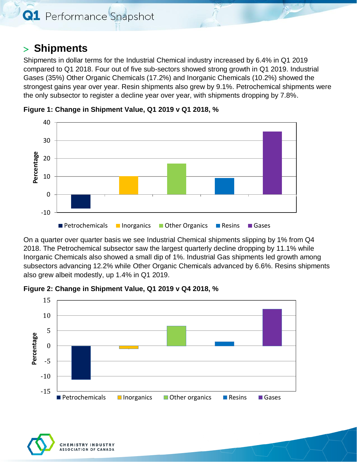**Q1** Performance Snapshot

#### **Shipments**

Shipments in dollar terms for the Industrial Chemical industry increased by 6.4% in Q1 2019 compared to Q1 2018. Four out of five sub-sectors showed strong growth in Q1 2019. Industrial Gases (35%) Other Organic Chemicals (17.2%) and Inorganic Chemicals (10.2%) showed the strongest gains year over year. Resin shipments also grew by 9.1%. Petrochemical shipments were the only subsector to register a decline year over year, with shipments dropping by 7.8%.



**Figure 1: Change in Shipment Value, Q1 2019 v Q1 2018, %**

On a quarter over quarter basis we see Industrial Chemical shipments slipping by 1% from Q4 2018. The Petrochemical subsector saw the largest quarterly decline dropping by 11.1% while Inorganic Chemicals also showed a small dip of 1%. Industrial Gas shipments led growth among subsectors advancing 12.2% while Other Organic Chemicals advanced by 6.6%. Resins shipments also grew albeit modestly, up 1.4% in Q1 2019.



**Figure 2: Change in Shipment Value, Q1 2019 v Q4 2018, %**

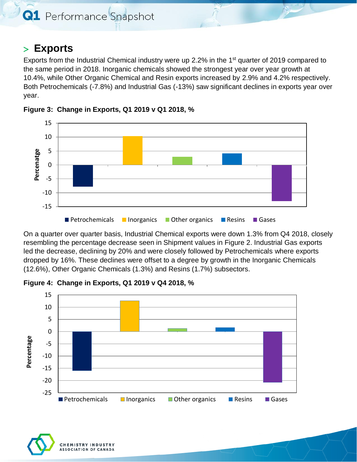#### **Exports**

Exports from the Industrial Chemical industry were up 2.2% in the  $1<sup>st</sup>$  quarter of 2019 compared to the same period in 2018. Inorganic chemicals showed the strongest year over year growth at 10.4%, while Other Organic Chemical and Resin exports increased by 2.9% and 4.2% respectively. Both Petrochemicals (-7.8%) and Industrial Gas (-13%) saw significant declines in exports year over year.





On a quarter over quarter basis, Industrial Chemical exports were down 1.3% from Q4 2018, closely resembling the percentage decrease seen in Shipment values in Figure 2. Industrial Gas exports led the decrease, declining by 20% and were closely followed by Petrochemicals where exports dropped by 16%. These declines were offset to a degree by growth in the Inorganic Chemicals (12.6%), Other Organic Chemicals (1.3%) and Resins (1.7%) subsectors.

**Figure 4: Change in Exports, Q1 2019 v Q4 2018, %**



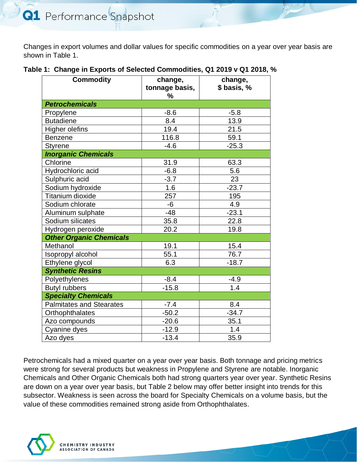Changes in export volumes and dollar values for specific commodities on a year over year basis are shown in Table 1.

| <b>Commodity</b>                | change,<br>tonnage basis,<br>% | change,<br>\$ basis, % |  |
|---------------------------------|--------------------------------|------------------------|--|
| <b>Petrochemicals</b>           |                                |                        |  |
| Propylene                       | $-8.6$                         | $-5.8$                 |  |
| <b>Butadiene</b>                | 8.4                            | 13.9                   |  |
| Higher olefins                  | 19.4                           | 21.5                   |  |
| <b>Benzene</b>                  | 116.8                          | 59.1                   |  |
| <b>Styrene</b>                  | $-4.6$                         | $-25.3$                |  |
| <b>Inorganic Chemicals</b>      |                                |                        |  |
| Chlorine                        | 31.9                           | 63.3                   |  |
| Hydrochloric acid               | $-6.8$                         | 5.6                    |  |
| Sulphuric acid                  | $-3.7$                         | 23                     |  |
| Sodium hydroxide                | 1.6                            | $-23.7$                |  |
| <b>Titanium dioxide</b>         | 257                            | 195                    |  |
| Sodium chlorate                 | -6                             | 4.9                    |  |
| Aluminum sulphate               | $-48$                          | $-23.1$                |  |
| Sodium silicates                | 35.8                           | 22.8                   |  |
| Hydrogen peroxide               | 20.2                           | 19.8                   |  |
| <b>Other Organic Chemicals</b>  |                                |                        |  |
| Methanol                        | 19.1                           | 15.4                   |  |
| Isopropyl alcohol               | 55.1                           | 76.7                   |  |
| Ethylene glycol                 | 6.3                            | $-18.7$                |  |
| <b>Synthetic Resins</b>         |                                |                        |  |
| Polyethylenes                   | $-8.4$                         | $-4.9$                 |  |
| <b>Butyl rubbers</b>            | $-15.8$                        | 1.4                    |  |
| <b>Specialty Chemicals</b>      |                                |                        |  |
| <b>Palmitates and Stearates</b> | $-7.4$                         | 8.4                    |  |
| Orthophthalates                 | $-50.2$                        | $-34.7$                |  |
| Azo compounds                   | $-20.6$                        | 35.1                   |  |
| Cyanine dyes                    | $-12.9$                        | 1.4                    |  |
| Azo dyes                        | $-13.4$                        | 35.9                   |  |

Petrochemicals had a mixed quarter on a year over year basis. Both tonnage and pricing metrics were strong for several products but weakness in Propylene and Styrene are notable. Inorganic Chemicals and Other Organic Chemicals both had strong quarters year over year. Synthetic Resins are down on a year over year basis, but Table 2 below may offer better insight into trends for this subsector. Weakness is seen across the board for Specialty Chemicals on a volume basis, but the value of these commodities remained strong aside from Orthophthalates.

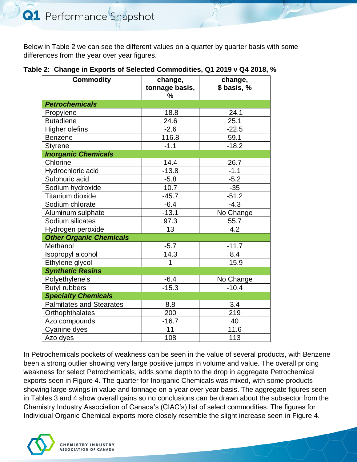Below in Table 2 we can see the different values on a quarter by quarter basis with some differences from the year over year figures.

| <b>Commodity</b>                | change,<br>tonnage basis,<br>$\%$ | change,<br>\$ basis, % |  |
|---------------------------------|-----------------------------------|------------------------|--|
| <b>Petrochemicals</b>           |                                   |                        |  |
| Propylene                       | $-18.8$                           | $-24.1$                |  |
| <b>Butadiene</b>                | 24.6                              | 25.1                   |  |
| Higher olefins                  | $-2.6$                            | $-22.5$                |  |
| <b>Benzene</b>                  | 116.8                             | 59.1                   |  |
| <b>Styrene</b>                  | $-1.1$                            | $-18.2$                |  |
| <b>Inorganic Chemicals</b>      |                                   |                        |  |
| Chlorine                        | 14.4                              | 26.7                   |  |
| Hydrochloric acid               | $-13.8$                           | $-1.1$                 |  |
| Sulphuric acid                  | $-5.8$                            | $-5.2$                 |  |
| Sodium hydroxide                | 10.7                              | $-35$                  |  |
| <b>Titanium dioxide</b>         | $-45.7$                           | $-51.2$                |  |
| Sodium chlorate                 | $-6.4$                            | $-4.3$                 |  |
| Aluminum sulphate               | $-13.1$                           | No Change              |  |
| Sodium silicates                | 97.3                              | 55.7                   |  |
| Hydrogen peroxide               | 13                                | 4.2                    |  |
| <b>Other Organic Chemicals</b>  |                                   |                        |  |
| Methanol                        | $-5.7$                            | $-11.7$                |  |
| Isopropyl alcohol               | 14.3                              | 8.4                    |  |
| Ethylene glycol                 | 1                                 | $-15.9$                |  |
| <b>Synthetic Resins</b>         |                                   |                        |  |
| Polyethylene's                  | $-6.4$                            | No Change              |  |
| <b>Butyl rubbers</b>            | $-15.3$                           | $-10.4$                |  |
| <b>Specialty Chemicals</b>      |                                   |                        |  |
| <b>Palmitates and Stearates</b> | 8.8                               | 3.4                    |  |
| Orthophthalates                 | 200                               | 219                    |  |
| Azo compounds                   | $-16.7$                           | 40                     |  |
| Cyanine dyes                    | 11                                | 11.6                   |  |
| Azo dyes                        | 108                               | 113                    |  |

In Petrochemicals pockets of weakness can be seen in the value of several products, with Benzene been a strong outlier showing very large positive jumps in volume and value. The overall pricing weakness for select Petrochemicals, adds some depth to the drop in aggregate Petrochemical exports seen in Figure 4. The quarter for Inorganic Chemicals was mixed, with some products showing large swings in value and tonnage on a year over year basis. The aggregate figures seen in Tables 3 and 4 show overall gains so no conclusions can be drawn about the subsector from the Chemistry Industry Association of Canada's (CIAC's) list of select commodities. The figures for Individual Organic Chemical exports more closely resemble the slight increase seen in Figure 4.

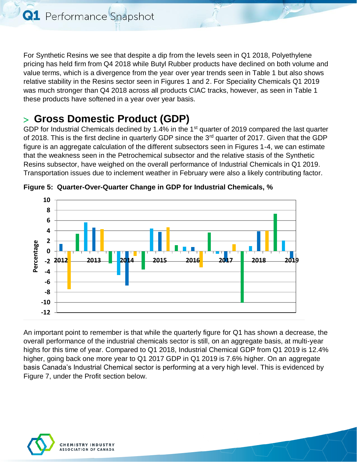For Synthetic Resins we see that despite a dip from the levels seen in Q1 2018, Polyethylene pricing has held firm from Q4 2018 while Butyl Rubber products have declined on both volume and value terms, which is a divergence from the year over year trends seen in Table 1 but also shows relative stability in the Resins sector seen in Figures 1 and 2. For Speciality Chemicals Q1 2019 was much stronger than Q4 2018 across all products CIAC tracks, however, as seen in Table 1 these products have softened in a year over year basis.

## **Gross Domestic Product (GDP)**

GDP for Industrial Chemicals declined by 1.4% in the 1<sup>st</sup> quarter of 2019 compared the last quarter of 2018. This is the first decline in quarterly GDP since the 3<sup>rd</sup> quarter of 2017. Given that the GDP figure is an aggregate calculation of the different subsectors seen in Figures 1-4, we can estimate that the weakness seen in the Petrochemical subsector and the relative stasis of the Synthetic Resins subsector, have weighed on the overall performance of Industrial Chemicals in Q1 2019. Transportation issues due to inclement weather in February were also a likely contributing factor.



**Figure 5: Quarter-Over-Quarter Change in GDP for Industrial Chemicals, %**

An important point to remember is that while the quarterly figure for Q1 has shown a decrease, the overall performance of the industrial chemicals sector is still, on an aggregate basis, at multi-year highs for this time of year. Compared to Q1 2018, Industrial Chemical GDP from Q1 2019 is 12.4% higher, going back one more year to Q1 2017 GDP in Q1 2019 is 7.6% higher. On an aggregate basis Canada's Industrial Chemical sector is performing at a very high level. This is evidenced by Figure 7, under the Profit section below.

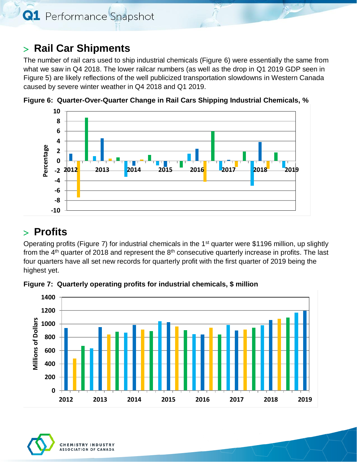**Q1** Performance Snapshot

### **Rail Car Shipments**

The number of rail cars used to ship industrial chemicals (Figure 6) were essentially the same from what we saw in Q4 2018. The lower railcar numbers (as well as the drop in Q1 2019 GDP seen in Figure 5) are likely reflections of the well publicized transportation slowdowns in Western Canada caused by severe winter weather in Q4 2018 and Q1 2019.



**Figure 6: Quarter-Over-Quarter Change in Rail Cars Shipping Industrial Chemicals, %**

#### **Profits**

Operating profits (Figure 7) for industrial chemicals in the 1<sup>st</sup> quarter were \$1196 million, up slightly from the  $4<sup>th</sup>$  quarter of 2018 and represent the  $8<sup>th</sup>$  consecutive quarterly increase in profits. The last four quarters have all set new records for quarterly profit with the first quarter of 2019 being the highest yet.



**Figure 7: Quarterly operating profits for industrial chemicals, \$ million**